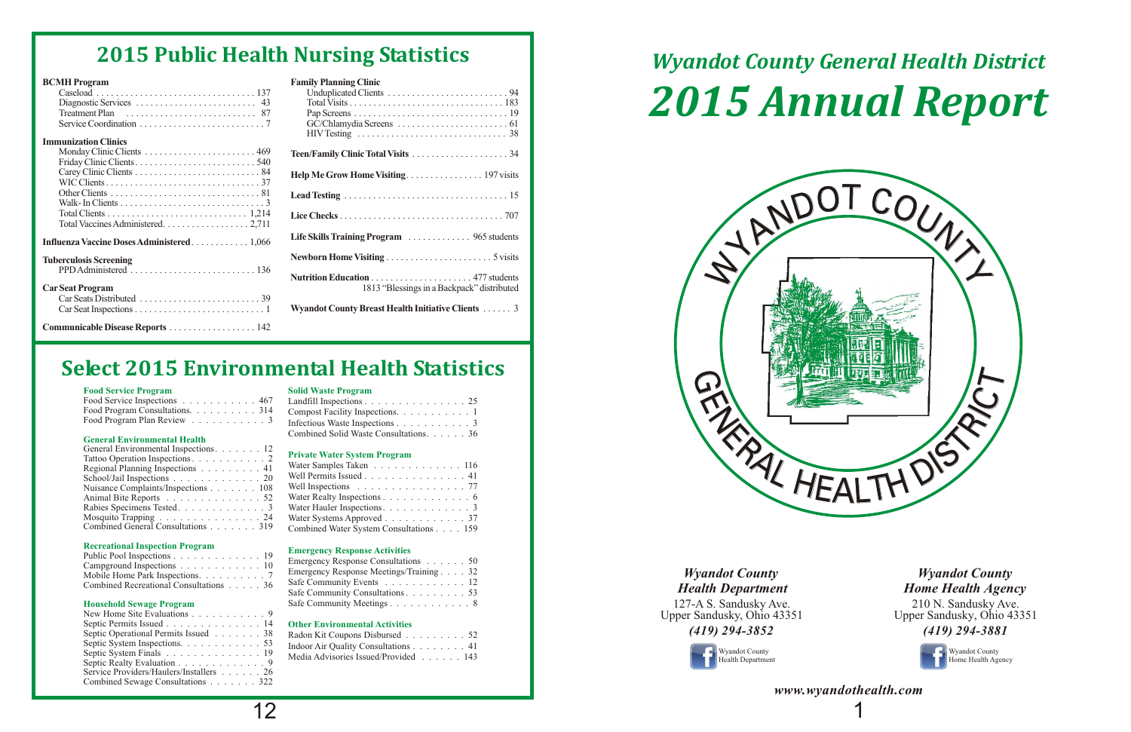### **Food Service Program Solid Waste Program**

### **General Environmental Health**

### **Private Water System Program**

### **Recreational Inspection Program Emergency Response Activities**

### **Household Sewage Program**

### **Other Environmental Activities**

| Food Service Inspections 467 Landfill Inspections 25            |  |
|-----------------------------------------------------------------|--|
| Food Program Consultations. 314 Compost Facility Inspections. 1 |  |
|                                                                 |  |

|                                                                                            | Food Service Inspections 467 Landfill Inspections 25                                                                  |
|--------------------------------------------------------------------------------------------|-----------------------------------------------------------------------------------------------------------------------|
|                                                                                            | Food Program Consultations. $\ldots \ldots \ldots 314$ Compost Facility Inspections. $\ldots \ldots \ldots 1$         |
|                                                                                            | Food Program Plan Review $\ldots \ldots \ldots \ldots 3$ Infectious Waste Inspections $\ldots \ldots \ldots \ldots 3$ |
| $O_{\rm{max}}$ and $H_{\rm{max}}$ is a sense of a set of $H_{\rm{max}}$ and $H_{\rm{max}}$ | Combined Solid Waste Consultations36                                                                                  |

| General Environmental Inspections. 12                     |                                         |
|-----------------------------------------------------------|-----------------------------------------|
|                                                           | <b>Private Water System Program</b>     |
| Regional Planning Inspections 41                          | Water Samples Taken 116                 |
| School/Jail Inspections 20                                | Well Permits Issued 41                  |
| Nuisance Complaints/Inspections 108                       | Well Inspections 77                     |
| Animal Bite Reports 52                                    | Water Realty Inspections 6              |
| Rabies Specimens Tested. 3                                | Water Hauler Inspections. 3             |
| Mosquito Trapping $\ldots \ldots \ldots \ldots \ldots 24$ | Water Systems Approved 37               |
| Combined General Consultations                            | Combined Water System Consultations 150 |

| ranoo $\cup$ peramon mspections $\cdots$ , $\cdots$ , $\cdots$<br>Regional Planning Inspections 41 | Water Samples Taken 116                                         |
|----------------------------------------------------------------------------------------------------|-----------------------------------------------------------------|
| School/Jail Inspections 20                                                                         | Well Permits Issued 41                                          |
| Nuisance Complaints/Inspections 108                                                                | Well Inspections $\ldots \ldots \ldots \ldots \ldots \ldots$ 77 |
| Animal Bite Reports 52                                                                             | Water Realty Inspections 6                                      |
| Rabies Specimens Tested. 3                                                                         |                                                                 |
| Mosquito Trapping 24                                                                               | Water Systems Approved $\ldots \ldots \ldots \ldots 37$         |
| Combined General Consultations 319                                                                 | Combined Water System Consultations 159                         |
|                                                                                                    |                                                                 |

| Public Pool Inspections 19                              | <b>EMAILY Response Activities</b>       |
|---------------------------------------------------------|-----------------------------------------|
|                                                         | Emergency Response Consultations 50     |
| Campground Inspections $\ldots \ldots \ldots \ldots 10$ |                                         |
|                                                         |                                         |
| Mobile Home Park Inspections. 7                         | Emergency Response Meetings/Training 32 |
|                                                         |                                         |
| Combined Recreational Consultations 36                  | Safe Community Events 12                |
|                                                         |                                         |

| PUDIIC POOLINS DECLIONS 19             | Emergency Response Consultations 50     |
|----------------------------------------|-----------------------------------------|
| Campground Inspections 10              |                                         |
| Mobile Home Park Inspections. 7        | Emergency Response Meetings/Training 32 |
| Combined Recreational Consultations 36 | Safe Community Events 12                |
|                                        | Safe Community Consultations 53         |
| <b>Household Sewage Program</b>        |                                         |

| Septic Operational Permits Issued 38                         | Radon Kit Coupons Disbursed 52       |  |
|--------------------------------------------------------------|--------------------------------------|--|
| Septic System Inspections. $\ldots$ 53                       | Indoor Air Quality Consultations 41  |  |
| Septic System Finals $\ldots \ldots \ldots \ldots \ldots 19$ | Media Advisories Issued/Provided 143 |  |
| $\alpha$ and $\alpha$ is the field of the $\alpha$           |                                      |  |

| New Home Site Evaluations 9             |                                       |
|-----------------------------------------|---------------------------------------|
| Septic Permits Issued 14                | <b>Other Environmental Activities</b> |
| Septic Operational Permits Issued 38    | Radon Kit Coupons Disbursed 52        |
| Septic System Inspections. 53           | Indoor Air Quality Consultations 41   |
| Septic System Finals 19                 | Media Advisories Issued/Provided 143  |
| Septic Realty Evaluation 9              |                                       |
| Service Providers/Haulers/Installers 26 |                                       |
| Combined Sewage Consultations 322       |                                       |

 $\begin{array}{c|c} \n12 & 1 \n\end{array}$ *www.wyandothealth.com*

## **Select 2015 Environmental Health Statistics**

# *Wyandot County General Health District 2015 Annual Report*



| ип гтоггаш                                                                       |                                                                                               |
|----------------------------------------------------------------------------------|-----------------------------------------------------------------------------------------------|
|                                                                                  |                                                                                               |
|                                                                                  |                                                                                               |
| Treatment Plan $\dots\dots\dots\dots\dots\dots\dots\dots$ 87                     |                                                                                               |
|                                                                                  | HIV Testing $\ldots \ldots \ldots \ldots \ldots \ldots \ldots \ldots \ldots \ldots \ldots$ 38 |
| <b>1</b> unization Clinics                                                       |                                                                                               |
|                                                                                  |                                                                                               |
|                                                                                  |                                                                                               |
|                                                                                  |                                                                                               |
| Total Vaccines Administered. 2,711                                               |                                                                                               |
| <b>Lenza Vaccine Doses Administered1,066</b>                                     | Life Skills Training Program  965 students                                                    |
| erculosis Screening                                                              |                                                                                               |
| $PPD$ Administered $\ldots \ldots \ldots \ldots \ldots \ldots \ldots \ldots 136$ |                                                                                               |
| <b>Seat Program</b>                                                              | 1813 "Blessings in a Backpack" distributed                                                    |
|                                                                                  |                                                                                               |
|                                                                                  | <b>Wyandot County Breast Health Initiative Clients  3</b>                                     |

| <b>BCMH</b> Program                       | <b>Family Planning Clinic</b>                      |
|-------------------------------------------|----------------------------------------------------|
|                                           |                                                    |
|                                           |                                                    |
|                                           |                                                    |
|                                           |                                                    |
|                                           |                                                    |
| <b>Immunization Clinics</b>               |                                                    |
|                                           |                                                    |
|                                           |                                                    |
|                                           |                                                    |
|                                           |                                                    |
|                                           |                                                    |
|                                           |                                                    |
|                                           |                                                    |
|                                           |                                                    |
| Influenza Vaccine Doses Administered1,066 | Life Skills Training Program  965 students         |
| <b>Tuberculosis Screening</b>             |                                                    |
|                                           |                                                    |
|                                           |                                                    |
| <b>Car Seat Program</b>                   | 1813 "Blessings in a Backpack" distributed         |
|                                           |                                                    |
|                                           | Wyandot County Breast Health Initiative Clients  3 |
| Communicable Disease Reports 142          |                                                    |

## **2015 Public Health Nursing Statistics**

127-A S. Sandusky Ave. Upper Sandusky, Ohio 43351

## *(419) 294-3852*

### *Wyandot County Health Department*

210 N. Sandusky Ave. Upper Sandusky, Ohio 43351 *(419) 294-3881*



*Wyandot County Home Health Agency*



Wyandot County Home Health Agency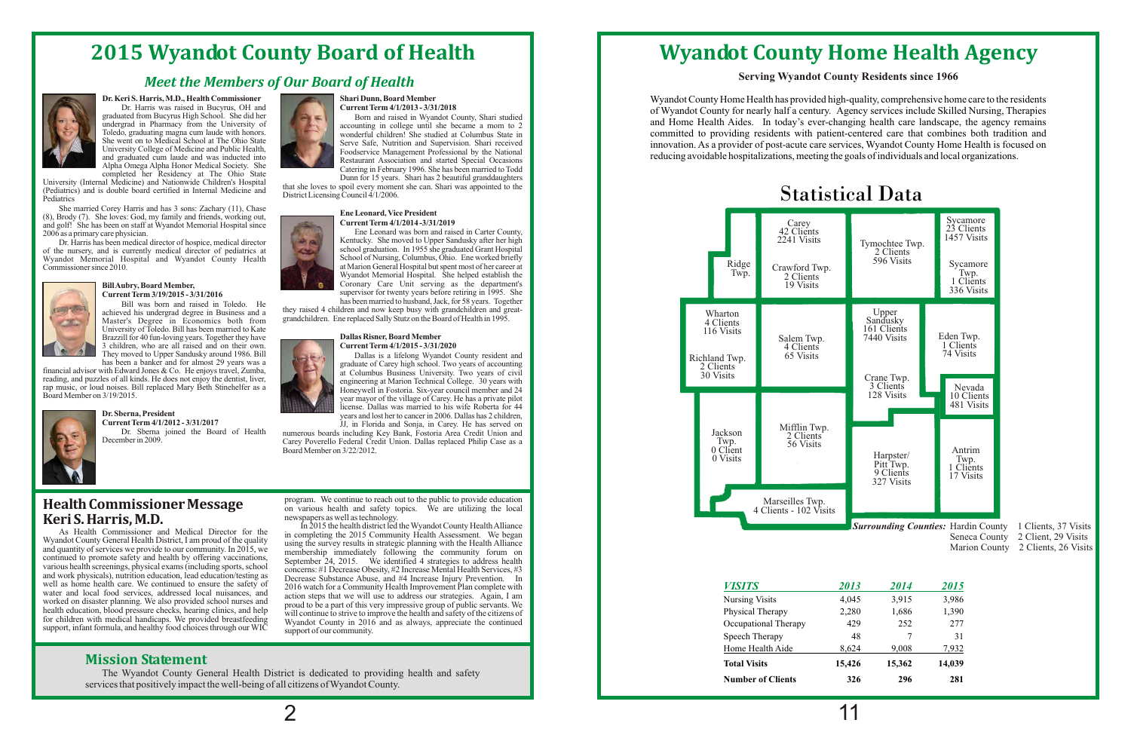### **Mission Statement**

The Wyandot County General Health District is dedicated to providing health and safety services that positively impact the well-being of all citizens of Wyandot County.

## **2015 Wyandot County Board of Health**

Wyandot County Home Health has provided high-quality, comprehensive home care to the residents of Wyandot County for nearly half a century. Agency services include Skilled Nursing, Therapies and Home Health Aides. In today's ever-changing health care landscape, the agency remains committed to providing residents with patient-centered care that combines both tradition and innovation. As a provider of post-acute care services, Wyandot County Home Health is focused on reducing avoidable hospitalizations, meeting the goals of individuals and local organizations.

## **Wyandot County Home Health Agency**

### **Serving Wyandot County Residents since 1966**

### *VISITS 2013 2014 2015*

Nursing Visits Physical Therapy Occupational Therapy Speech Therapy Home Health Aide  $Total Visits$ 

**Number of Clients 326 296 281**



University of Toledo. Bill has been married to Kate Brazzill for 40 fun-loving years. Together they have **Dallas Risner, Board Member**<br>3 children, who are all raised and on their own. **Dallas Risner, Board Member** 3 children, who are all raised and on their own.<br>They moved to Upper Sandusky around 1986. Bill They moved to Upper Sandusky around 1986. Bill Dallas is a lifelong Wyandot County resident and has been a banker and for almost 29 years was a

financial advisor with Edward Jones & Co. He enjoys travel, Zumba, at Columbus Business University. Two years of civil reading, and puzzles of all kinds. He does not enjoy the dentist, liver, engineering at Marion Technica reading, and puzzles of all kinds. He does not enjoy the dentist, liver, engineering at Marion Technical College. 30 years with repressions Bill replaced Mary Beth Stinehelfer as a Honeywell in Fostoria. Six-year council m rap music, or loud noises. Bill replaced Mary Beth Stinehelfer as a Honeywell in Fostoria. Six-year council member and 24 vear mayor of the village of Carey. He has a private pilot



**Current Term 4/1/2012 - 3/31/2017** J. in Florida and Sonja, in Carey. He has served on Dr. Sberna joined the Board of Health numerous boards including Key Bank, Fostoria Area Credit Union and



## **Dr. Keri S. Harris, M.D., Health Commissioner Shari Dunn, Board Member**<br>Dr. Harris was raised in Bucyrus, OH and **Current Term 4/1/2013 - 3/31/2018**

graduated from Bucyrus High School. She did her Born and raised in Wyandot County, Shari studied<br>accounting in college until she became a mom to 2 accounting in college until she became a mom to 2 wonderful children! She studied at Columbus State in She went on to Medical School at The Ohio State<br>University College of Medicine and Public Health, Shari received<br>Serve Safe, Nutrition and Supervisional by the National University College of Medicine and Public Health, Foodservice Management Professional by the National and graduated cum laude and was inducted into<br>Restaurant Association and started Special Occasions



Ene Leonard was born and raised in Carter County, Kentucky. She moved to Upper Sandusky after her high at Marion General Hospital but spent most of her career at Wyandot Memorial Hospital. She helped establish the **Bill Aubry, Board Member,**<br> **Coronary Care Unit serving as the department's**<br> **Coronary Care Unit serving as the department's**<br> **Coronary Care Unit serving as the department's**<br> **Supervisor for twenty years before retirin Curry Supervisor for twenty years before retiring in 1995.** She **current Term 3/19/2015 - 3/31/2016 entExperience Curry Supervisor for twenty years before retiring in 1995. She <b>build** was born and raised in Toledo. H

has born and raised in Toledo. He they raised 4 children and now keep busy with grandchildren and great-<br>Master's Degree in Economics both from grandchildren. Ene replaced Sally Stutz on the Board of Health in 1995. grandchildren. Ene replaced Sally Stutz on the Board of Health in 1995.



graduate of Carey high school. Two years of accounting at Columbus Business University. Two years of civil license. Dallas was married to his wife Roberta for 44 **Dr. Sberna, President**<br> **Current Term 4/1/2012-3/31/2017**<br> *Line Elorida and Sonia in Carey He has served on*<br> *He has served on* 

Dr. Sberna joined the Board of Health numerous boards including Key Bank, Fostoria Area Credit Union and Carew Poverello Federal Credit Union Dallas replaced Philip Case as a Carey Poverello Federal Credit Union. Dallas replaced Philip Case as a Board Member on 3/22/2012.

support, infant formula, and healthy food choices through our  $WI\overline{C}$ 

**Health Commissioner Message** program. We continue to reach out to the public to provide education on various health and safety topics. We are utilizing the local newspapers as well as technology.

**Keri S. Harris, M.D.**<br>As Health Commissioner and Medical Director for the in completing the 2015 Community Health Associates and Medical Director for the in completing the 2015 Community Health Association and Medical Dir A Evant Proposition and Medical Director for the<br>
Wyandot County Health Alliance<br>
Wyandot County General Health District, I am proud of the quality<br>
and quantity of services we provide to our community. In 2015, we<br>
contin well as nome nealth care. We continued to ensure the safety of<br>water and local food services, addressed local nuisances, and<br>worked on disaster planning. We also provided school nurses and<br>health education, blood pressure for children with medical handicaps. We provided breastfeeding<br>support, infant formula, and healthy food choices through our WIC<br>support of our community.

*Surrounding Counties:*  Hardin County 1 Clients, 37 Visits

Seneca County 2 Client, 29 Visits

Marion County 2 Clients, 26 Visits

| 2014   | 2015   |
|--------|--------|
| 3,915  | 3,986  |
| 1,686  | 1,390  |
| 252    | 277    |
| 7      | 31     |
| 9.008  | 7,932  |
| 15,362 | 14,039 |
| 296    | 281    |
|        |        |

## *Meet the Members of Our Board of Health*



Dr. Harris was raised in Bucyrus, OH and graduated from Bucyrus High School. She did her Toledo, graduating magna cum laude with honors.<br>She went on to Medical School at The Ohio State

and graduated cum laude and was inducted into<br>
Alpha Omega Alpha Honor Medical Society. She<br>
completed her Residency at The Ohio State<br>
University (Internal Medicine) and Nationwide Children's Hospital<br>
Pediatrics) and is

She married Corey Harris and has 3 sons: Zachary (11), Chase<br>
(8), Brody (7). She loves: God, my family and friends, working out,<br>
and golff. She has been on staff at Wyandot Memorial Hospital since<br> **Ene Leonard, Vice Pre** and golf! She has been on staff at Wyandot Memorial Hospital since 2006 as a primary care physician.

Dr. Harris has been medical director of hospice, medical director Kentucky. She moved to Upper Sandusky after her high school graduation. In 1955 she graduated Grant Hospital of the nursery, and is currently medical director of pediatrics at school graduation. In 1955 she graduated Grant Hospital Wyandot County Health School of Nursing, Columbus, Ohio. Ene worked briefly Wyandot Memorial Hospital and Wyandot County Health Commissioner since 2010.



## **Bill Aubry, Board Member,**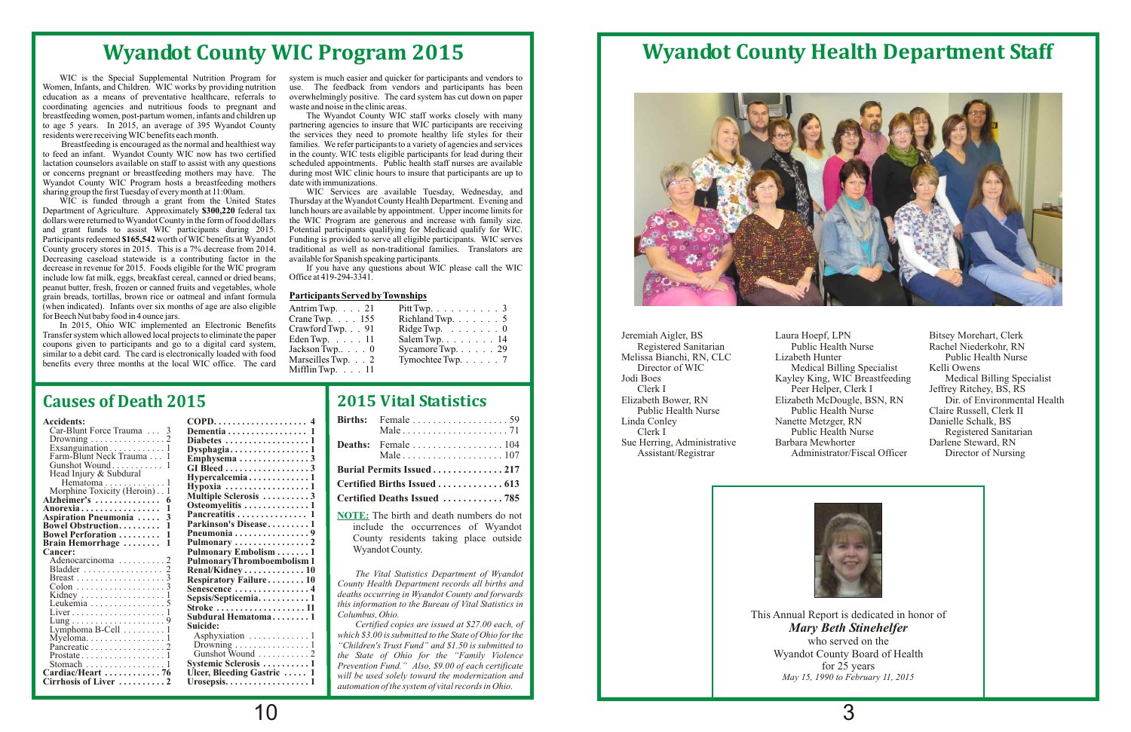WIC is funded through a grant from the United States Department of Agriculture. Approximately **\$300,220** federal tax Department of Agriculture. Approximately **\$300,220** federal tax lunch hours are available by appointment. Upper income limits for dollars were returned to Wyandot County in the form of food dollars the WIC Program are generous and increase with family size.<br>and grant funds to assist WIC participants during 2015. Potential participants qualifying for and grant funds to assist WIC participants during 2015. Potential participants qualifying for Medicaid qualify for WIC.<br>Participants redeemed \$165,542 worth of WIC benefits at Wyandot Funding is provided to serve all eligi Participants redeemed \$165,542 worth of WIC benefits at Wyandot Funding is provided to serve all eligible participants. WIC serves County grocery stores in 2015. This is a 7% decrease from 2014. traditional as well as non-Decreasing caseload statewide is a contributing factor in the available for Spanish speaking participants.<br>decrease in revenue for 2015. Foods eligible for the WIC program If you have any questions about WIC please call th decrease in revenue for 2015. Foods eligible for the WIC program If you have any question include low fat milk, eggs, breakfast cereal, canned or dried beans. Office at 419-294-3341. include low fat milk, eggs, breakfast cereal, canned or dried beans, peanut butter, fresh, frozen or canned fruits and vegetables, whole grain breads, tortillas, brown rice or oatmeal and infant formula **Participants Served by Townships** (when indicated). Infants over six months of age are also eligible for Beech Nut baby food in 4 ounce jars.

In 2015, Ohio WIC implemented an Electronic Benefits Transfer system which allowed local projects to eliminate the paper coupons given to participants and go to a digital card system, similar to a debit card. The card is electronically loaded with food benefits every three months at the local WIC office. The card overwhelmingly positive. The card system has cut down on paper waste and noise in the clinic areas.

resident were receiving WIC benefits each month. the services they need to promote healthy life styles for their<br>Breastfeeding is encouraged as the normal and healthiest way families. We refer participants to a variety of Breastfeeding is encouraged as the normal and healthiest way families. We refer participants to a variety of agencies and services to feed an infant. Wyandot County WIC now has two certified in the county. WIC tests eligib during most WIC clinic hours to insure that participants are up to date with immunizations.

sharing group the first Tuesday of every month at 11:00am. WIC Services are available Tuesday, Wednesday, and WIC is funded through a grant from the United States Thursday at the Wyandot County Health Department. Evening a traditional as well as non-traditional families. Translators are available for Spanish speaking participants.

## **Wyandot County WIC Program 2015**

WIC is the Special Supplemental Nutrition Program for system is much easier and quicker for participants and vendors to Women, Infants, and Children. WIC works by providing nutrition use. The feedback from vendors and part Women, Infants, and Children. WIC works by providing nutrition use. The feedback from vendors and participants has been education as a means of preventative healthcare, referrals to overwhelmingly positive. The card system coordinating agencies and nutritious foods to pregnant and waste and noise in the clinic areas.<br>
Interval of the Clinic areas in the Clinic areas.<br>
The Wyandot County WIC staff works closely with many breastfeeding women, post-partum women, infants and children up The Wyandot County WIC staff works closely with many to age 5 years. In 2015, an average of 395 Wyandot County partnering agencies to insure that WIC particip to age 5 years. In  $2015$ , an average of 395 Wyandot County residents were receiving WIC benefits each month.

to feed an infant. Wyandot County WIC now has two certified in the county. WIC tests eligible participants for lead during their<br>lactation counselors available on staff to assist with any questions scheduled appointments. lactation counselors available on staff to assist with any questions scheduled appointments. Public health staff nurses are available or concerns pregnant or breastfeeding mothers may have. The during most WIC clinic hours Wyandot County WIC Program hosts a breastfeeding mothers date with immunizations.<br>
WIC Services are available Tuesday, Wednesday, and<br>
WIC Services are available Tuesday, Wednesday, and

> *The Vital Statistics Department of Wyandot County Health Department records all births and deaths occurring in Wyandot County and forwards this information to the Bureau of Vital Statistics in Columbus, Ohio.*

> *Certified copies are issued at \$27.00 each, of which \$3.00 is submitted to the State of Ohio for the "Children's Trust Fund" and \$1.50 is submitted to the State of Ohio for the "Family Violence Prevention Fund." Also, \$9.00 of each certificate will be used solely toward the modernization and automation of the system of vital records in Ohio.*

## **2015 Vital Statistics**

|                              | Burial Permits Issued217     |
|------------------------------|------------------------------|
| Certified Births Issued  613 |                              |
|                              | Certified Deaths Issued  785 |

**NOTE:** The birth and death numbers do not include the occurrences of Wyandot County residents taking place outside Wyandot County.

| Car-Blunt Force Trauma  3                         |                                                    |
|---------------------------------------------------|----------------------------------------------------|
| Drowning 2                                        | Diabetes 1                                         |
| Exsanguination1                                   |                                                    |
| Farm-Blunt Neck Trauma 1                          | Emphysema3                                         |
| Gunshot Wound 1                                   | GI Bleed 3                                         |
| Head Injury & Subdural                            |                                                    |
|                                                   | Hypercalcemia1                                     |
| Morphine Toxicity (Heroin). 1                     | Hypoxia $\ldots \ldots \ldots \ldots \ldots 1$     |
| <b>Alzheimer's  6</b>                             | Multiple Sclerosis 3                               |
| Anorexia                                          | Osteomyelitis 1                                    |
| <b>Aspiration Pneumonia</b>                       | Pancreatitis  1                                    |
| <b>Bowel Obstruction</b>                          | Parkinson's Disease1                               |
| <b>Bowel Perforation </b>                         | Pneumonia 9                                        |
| <b>Brain Hemorrhage</b><br>1                      |                                                    |
| <b>Cancer:</b>                                    | Pulmonary Embolism 1                               |
| Adenocarcinoma 2                                  | <b>PulmonaryThromboembolism1</b>                   |
|                                                   | Renal/Kidney 10                                    |
|                                                   | <b>Respiratory Failure10</b>                       |
|                                                   | <b>Senescence 4</b>                                |
|                                                   | Sepsis/Septicemia1                                 |
| Leukemia $\ldots \ldots \ldots \ldots \ldots 5$   |                                                    |
| $Liver \dots \dots \dots \dots \dots \dots \dots$ | Stroke  11                                         |
|                                                   | Subdural Hematoma1                                 |
| Lymphoma B-Cell 1                                 | Suicide:                                           |
|                                                   | Asphyxiation $\dots \dots \dots \dots 1$           |
| Pancreatic 2                                      | Drowning $\ldots \ldots \ldots \ldots 1$           |
|                                                   | Gunshot Wound  2                                   |
| Stomach 1                                         | <b>Systemic Sclerosis 1</b>                        |
| Cardiac/Heart 76                                  | Ulcer, Bleeding Gastric  1                         |
| Cirrhosis of Liver  2                             | Urosepsis. $\dots \dots \dots \dots \dots \dots 1$ |
|                                                   |                                                    |

### **Accidents: COPD.................... 4 Dementia . . . . . . . . . . . . . . . . 1 Diabetes ..................**1 **Dysphagia. . . . . . . . . . . . . . . . . 1**<br>Emphysema . . . . . . . . . . . . . . . 3 **A Osteomyelitis ..............1 norexia ................. 1 Aspiration Pneumonia Pancreatitis ............... 1 . . . . . 3 Bowel Obstruction. . . . . . . . . 1 Parkinson's Disease . . . . . . . . . 1 Bowel Perforation . . . . . . . . . 1 Pneumonia ................9 Brain Hemorrhage . . . . . . . . 1 Pulmonary ................2 Cancer: Pulmonary Embolism . . . . . . . 1** Adenocarcinoma . . . . . . . . . . 2 **PulmonaryThromboembolism 1** Bladder ................. 2 **Renal/Kidney .............10 Respiratory Failure .**  $\dots \dots \dots 10$ Colon ...................3 **Senescence ................4** Kidney ..................1 **Sepsis/Septicemia...........1** Leukemia ................5 **Stroke ...................11**  ${\bf Subdural~Hematoma . . . . . . . . 1}$ Asphyxiation  $\dots\dots\dots\dots.1$ Drowning ....................1  $Gumbhot$  Wound  $\ldots \ldots \ldots$  2 Stomach .................1 **Systemic Sclerosis . . . . . . . . . . 1 Cardiac/Heart . . . . . . . . . . . . 76 Ulcer, Bleeding Gastric . . . . . 1 Cirrhosis of Liver ..........2 Urosepsis..................1**

## **Causes of Death 2015**

| Antrim Twp. $\ldots$ 21  | Pitt Twp. $\ldots \ldots \ldots 3$       |
|--------------------------|------------------------------------------|
| Crane Twp. $\ldots$ 155  | Richland Twp. $\ldots \ldots 5$          |
| Crawford Twp. 91         | Ridge Twp. $\ldots \ldots \ldots 0$      |
| Eden Twp. $\ldots$ 11    | Salem Twp. $\ldots$ $\ldots$ $\ldots$ 14 |
| Jackson Twp0             | Sycamore Twp. 29                         |
| Marseilles Twp. 2        | Tymochtee Twp. $\ldots$ . 7              |
| Mifflin Twp. $\ldots$ 11 |                                          |
|                          |                                          |

## **Wyandot County Health Department Staff**



Melissa Bianchi, RN, CLC<br>Director of WIC

Jeremiah Aigler, BS<br>
Laura Hoepf, LPN Bitsey Morehart, Clerk<br>
Registered Sanitarian Public Health Nurse Rachel Niederkohr, RN Public Health Nurse Rachel Niederkohr, RN<br>Lizabeth Hunter Public Health Nurse Director of WIC Medical Billing Specialist<br>
Medical Billing Specialist<br>
Medical Billing Specialist<br>
Medical Billing Specialist<br>
Medical Billing Specialist<br>
Medical Billing Specialist Kayley King, WIC Breastfeeding<br>Peer Helper, Clerk I Clerk I Peer Helper, Clerk I Jeffrey Ritchey, BS, RS<br>Elizabeth Bower, RN Elizabeth McDougle, BSN, RN Dir. of Environmental Elizabeth Bower, RN Elizabeth McDougle, BSN, RN Dir. of Environmental Health Public Health Nurse<br>
Public Health Nurse<br>
Claire Russell, Clerk II<br>
Linda Conley<br>
Nanette Metzger, RN<br>
Danielle Schalk, BS da Conley Nanette Metzger, RN<br>Clerk I Public Health Nurse Public Health Nurse<br>
Registered Sanitarian<br>
Darlene Steward, RN<br>
Registered Sanitarian<br>
Darlene Steward, RN Sue Herring, Administrative Barbara Mewhorter Darlene Steward, RN<br>Assistant/Registrar Administrator/Fiscal Officer Director of Nursing Administrator/Fiscal Officer



This Annual Report is dedicated in honor of *Mary Beth Stinehelfer*  who served on the Wyandot County Board of Health for 25 years *May 15, 1990 to February 11, 2015*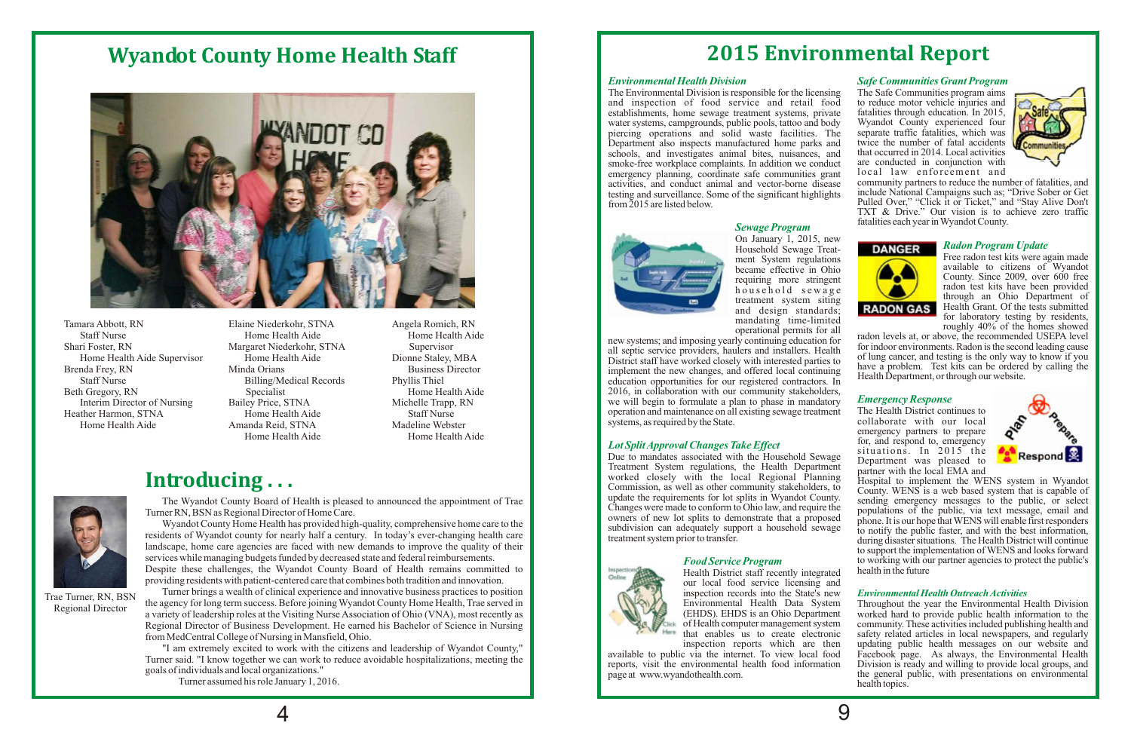*Emergency Response* emergency partners to prepare for, and respond to, emergency situations. In 2015 the<br>Department was pleased to



## *Radon Program Update*

became effective in Ohio<br>requiring more stringent available to citizens of Wyandot<br>County. Since 2009, over 600 free household sewage treatment system siting more string and through an Ohio Department of and design standards; **RADON GAS** Health Grant. Of the tests submitted for laboratory testing by residents, roughly  $40\%$  of the homes showed

radon levels at, or above, the recommended USEPA level<br>for indoor environments. Radon is the second leading cause new systems; and imposing yearly continuing education for<br>all septic service providers, haulers and installers. Health<br> $\frac{1}{2}$  for indoor environments. Radon is the second leading cause<br>of lung cancer, and testing is the District staff have worked closely with interested parties to<br>implement the new changes, and offered local continuing<br>the a problem. Test kits can be ordered by calling the<br>Health Department, or through our website.

### *Lot SplitApproval Changes Take Effect*

activities, and conduct animal and vector-borne disease community partners to reduce the number of fatalities, and testing and surveillance. Some of the significant highlights include National Campaigns such as; "Drive Sob Pulled Over," "Click it or Ticket," and "Stay Alive Don't TXT & Drive." Our vision is to achieve zero traffic fatalities each year inWyandot County.

> On January 1, 2015, new Household Sewage Treat-Household Sewage Treat<br>ment System regulations<br>became effective in Ohio mandating time-limited<br>operational permits for all



**Sewage Program** 

implement the new changes, and offered local continuing education opportunities for our registered contractors. In 2016, in collaboration with our community stakeholders, we will begin to formulate a plan to phase in mandatory operation and maintenance on all existing sewage treatment The Health District continues to systems, as required by the State.

Due to mandates associated with the Household Sewage<br>Treatment was pleased to<br>Treatment System regulations, the Health Department<br>partner with the local EMA and Treatment System regulations, the Health Department worked closely with the local Regional Planning update the requirements for lot splits in Wyandot County.



worked closely with the local Regional Planning Hospital to implement the WENS system in Wyandot Commission, as well as other community stakeholders, to County WENS is a web based system that is canable of County. WENS is a web based system that is capable of sending emergency messages to the public, or select Changes were made to conform to Ohio law, and require the populations of the public, via text message, email and owners of new lot splits to demonstrate that a proposed phone It is our hone that WENS will enable first resp owners of new lot splits to demonstrate that a proposed phone. It is our hope that WENS will enable first responders subdivision can adequately support a household sewage to notify the public faster and with the best infor subdivision can adequately support a household sewage to notify the public faster, and with the best information, treatment system prior to transfer. during disaster situations. The Health District will continue to support the implementation of WENS and looks forward to working with our partner agencies to protect the public's



*Food Service Program Environmental Health OutreachActivities* Health District staff recently integrated our local food service licensing and inspection records into the State's new<br>Environmental Health Data System Environmental Health Data System Throughout the year the Environmental Health Division (EHDS). EHDS is an Ohio Department worked hard to provide public health information to the (EHDS). EHDS is an Ohio Department worked hard to provide public health information to the of Health computer management system community. These activities included publishing health and that enables us to create electronic safety related articles in local newspapers, and regularly that enables us to create electronic safety related articles in local newspapers, and regularly updating public health messages on our website and Facebook page. As always, the Environmental Health available to public via the internet. To view local food Facebook page. As always, the Environmental Health reports, visit the environmental health food information Division is ready and willing to provide local groups, an reports, visit the environmental health food information page at www.wyandothealth.com. the general public, with presentations on environmental health topics.



Tamara Abbott, RN Elaine Niederkohr, STNA Angela Romich, RN Staff Nurse Health Aide Home Health Aide Shari Foster, RN Margaret Niederkohr, STNA Supervisor<br>Home Health Aide Supervisor<br>Home Health Aide Dionne Staley. Brenda Frey, RN Minda Orians Business Director<br>
Staff Nurse Billing/Medical Records Phyllis Thiel Staff Nurse Billing/Medical Records<br>Beth Gregory, RN Specialist Heather Harmon, STNA Home Health Aide Staff Nurse

Home Health Aide Home Health Aide Supervisor Home Health Aide Dionne Staley, MBA Interim Director of Nursing Bailey Price, STNA Michelle Trapp, RN Home Health Aide **Amanda Reid, STNA** Madeline Webster<br>Home Health Aide Home Health Aide Home Health Aide

Home Health Aide Home Health Aide

## **Wyandot County Home Health Staff**



4

## **2015 Environmental Report**

*Environmental Health Division Safe Communities Grant Program* The Environmental Division is responsible for the licensing The Safe Communities program aims<br>and inspection of food service and retail food to reduce motor vehicle injuries and and inspection of food service and retail food to reduce motor vehicle injuries and establishments, home sewage treatment systems, private fatalities through education. In 2015, establishments, home sewage treatment systems, private fatalities through education. In 2015, water systems, campgrounds, public pools, tattoo and body Wyandot County experienced four water systems, campgrounds, public pools, tattoo and body Wyandot County experienced four piercing operations and solid waste facilities. The separate traffic fatalities, which was piercing operations and solid waste facilities. The separate traffic fatalities, which was Department also inspects manufactured home parks and twice the number of fatal accidents Department also inspects manufactured home parks and twice the number of fatal accidents schools, and investigates animal bites, nuisances, and that occurred in 2014. Local activities schools, and investigates animal bites, nuisances, and that occurred in 2014. Local activities smoke-free workplace complaints. In addition we conduct are conducted in conjunction with smoke-free workplace complaints. In addition we conduct are conducted in conjunction with<br>emergency planning coordinate safe communities grant local law enforcement and emergency planning, coordinate safe communities grant local law enforcement and<br>activities and conduct animal and vector-borne disease community partners to reduce the number of fatalities, and testing and surveillance. Some of the significant highlights from 2015 are listed below.





Trae Turner, RN, BSN Regional Director

The Wyandot County Board of Health is pleased to announced the appointment of Trae Turner RN, BSN as Regional Director of Home Care.

Wyandot County Home Health has provided high-quality, comprehensive home care to the residents of Wyandot county for nearly half a century. In today's ever-changing health care landscape, home care agencies are faced with new demands to improve the quality of their services while managing budgets funded by decreased state and federal reimbursements. Despite these challenges, the Wyandot County Board of Health remains committed to providing residents with patient-centered care that combines both tradition and innovation.

Turner brings a wealth of clinical experience and innovative business practices to position the agency for long term success. Before joining Wyandot County Home Health, Trae served in a variety of leadership roles at the Visiting Nurse Association of Ohio (VNA), most recently as Regional Director of Business Development. He earned his Bachelor of Science in Nursing from MedCentral College of Nursing in Mansfield, Ohio.

"I am extremely excited to work with the citizens and leadership of Wyandot County," Turner said. "I know together we can work to reduce avoidable hospitalizations, meeting the goals of individuals and local organizations."

Turner assumed his role January 1, 2016.

## **Introducing . . .**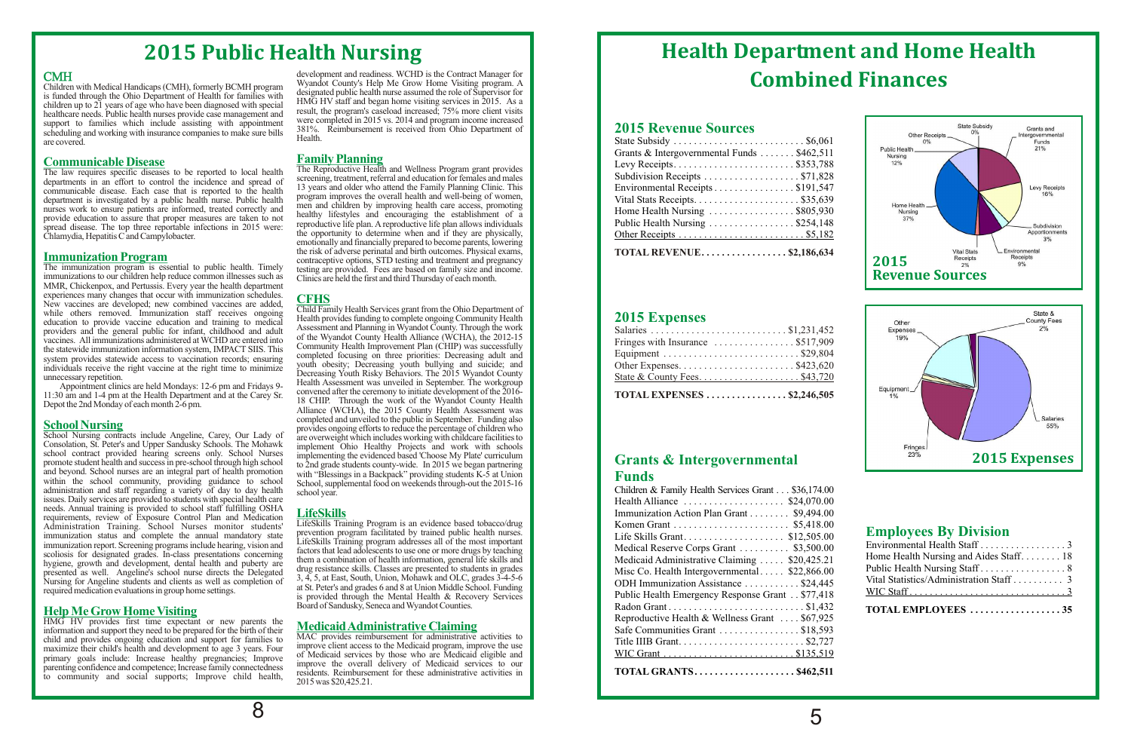## **Health Department and Home Health Combined Finances**

### **Grants & Intergovernmental Funds**

| Children & Family Health Services Grant \$36,174.00 |
|-----------------------------------------------------|
| Health Alliance  \$24,070.00                        |
| Immunization Action Plan Grant \$9,494.00           |
|                                                     |
| Life Skills Grant \$12,505.00                       |
| Medical Reserve Corps Grant  \$3,500.00             |
| Medicaid Administrative Claiming  \$20,425.21       |
| Misc Co. Health Intergovernmental \$22,866.00       |
| ODH Immunization Assistance \$24,445                |
| Public Health Emergency Response Grant \$77,418     |
|                                                     |
| Reproductive Health & Wellness Grant  \$67,925      |
| Safe Communities Grant \$18,593                     |
|                                                     |
|                                                     |
| <b>TOTAL GRANTS\$462,511</b>                        |

### **2015 Expenses**

| TOTAL EXPENSES $\ldots$ \$2,246,505 |  |
|-------------------------------------|--|
|                                     |  |
|                                     |  |
|                                     |  |
| Fringes with Insurance  \$517,909   |  |
|                                     |  |
|                                     |  |

## **2015 Revenue Sources**

| Grants & Intergovernmental Funds \$462,511 |
|--------------------------------------------|
| Levy Receipts\$353,788                     |
| Subdivision Receipts  \$71,828             |
| Environmental Receipts\$191,547            |
|                                            |
| Home Health Nursing \$805,930              |
| Public Health Nursing \$254,148            |
|                                            |
| TOTAL REVENUE\$2,186,634                   |

## **Employees By Division**

| TOTAL EMPLOYEES 35                      |  |
|-----------------------------------------|--|
|                                         |  |
| Vital Statistics/Administration Staff 3 |  |
|                                         |  |
| Home Health Nursing and Aides Staff 18  |  |
| Environmental Health Staff 3            |  |

## **2015 Public Health Nursing**

### **CMH**

Children with Medical Handicaps (CMH), formerly BCMH program<br>is funded through the Ohio Department of Health for families with<br>designated public health nurse assumed the role of Supervisor for<br>children up to 21 years of ag support to families which include assisting with appointment<br>scheduling and working with insurance companies to make sure bills<br>are covered.

departments in an effort to control the incidence and spread of<br>departments in an effort to control the incidence and spread of<br>communicable disease. Each case that is exported to the health<br>department is investigated by a department is investigated by a public health nurse. Public health program improves the overall health and well-being of women, nurses work to ensure patients are informed, treated correctly and the number of the metal of provide education to assure that proper measures are taken to not<br>spread disease. The top three reportable infections in 2015 were:<br>Chlamydia, Hepatitis C and Campylobacter.

**Immunization Program**<br>The immunization program is essential to public health. Timely immunizations to our children help reduce common illnesses such as MMR, Chickenpox, and Pertussis. Every year the health department experiences many changes that occur with immunization schedules.<br>New vaccines are developed; new combined vaccines are added,

**School Nursing**<br>
School Nursing contracts include Angeline, Carey, Our Lady of School Nursing contracts include Angeline, Carey, Our Lady of are overweight which includes working with childcare facilities to<br>Consolation, St. Peter's and Upper Sandusky Schools. The Mohawk implement Ohio Healthy Projec Consolation, St. Peter's and Upper Sandusky Schools. The Mohawk implement Ohio Healthy Projects and work with schools school contract provided hearing screens only. School Nurses implementing the evidenced based Choose My school contract provided hearing screens only. School Nurses implementing the evidenced based 'Choose My Plate' curriculum<br>promote student health and success in pre-school through high school to 2nd orade students countypromote student health and success in pre-school through high school to 2nd grade students county-wide. In 2015 we began partnering<br>and beyond. School nurses are an integral part of health promotion with "Blessings in a Ba and beyond. School nurses are an integral part of health promotion with "Blessings in a Backpack" providing students K-5 at Union within the school community, providing guidance to school School, supplemental food on weeke administration and staff regarding a variety of day to day health issues. Daily services are provided to students with special health care needs. Annual training is provided to school staff fulfilling OSHA requirements, review of Exposure Control Plan and Medication<br>Administration Training. School Nurses monitor students'<br>immunization status and complete the annual mandatory state<br>immunization report. Screening programs incl

### **Help Me Grow Home Visiting**

## **Medicaid Administrative Claiming**

maximize then clints heath and development to age 5 years. Four<br>primary goals include: Increase healthy pregnancies; Improve<br>parenting confidence and competence; Increase family connectedness<br>to community and social suppor

HMG HV provides first time expectant or new parents the child and provides ongoing education and support for families to<br>maximize their child's health and development to age 3 years. Four<br>matrice client access to the Medicaid program, improve the use

development and readiness. WCHD is the Contract Manager for Wyandot County's Help Me Grow Home Visiting program. A

**Communicable Disease**<br>The law requires specific diseases to be reported to local health<br>The Reproductive Health and Wellness Program grant provides emotionally and financially prepared to become parents, lowering the risk of adverse perinatal and birth outcomes. Physical exams, contraceptive options, STD testing and treatment and pregnancy testing are provided. Fees are based on family size and income.<br>Clinics are held the first and third Thursday of each month.

**CFHS**<br>Child Family Health Services grant from the Ohio Department of New vaccines are developed; new combined vaccines are added,<br>
while others removed. Immunization staff receives ongoing<br>
education and training to medical Fundit Bernily Health Services grant from the Ohio Department of<br>
e 11:30 am and 1-4 pm at the Health Department and at the Carey Sr.<br>Depot the 2nd Monday of each month 2-6 pm.<br>Alliance (WCHA), the 2015 County Health Assessment was completed and unveiled to the public in September. Funding also provides ongoing efforts to reduce the percentage of children who School, supplemental food on weekends through-out the 2015-16 school year.

**LifeSkills**<br>LifeSkills Training Program is an evidence based tobacco/drug Nursing for Angeline students and clients as well as completion of  $\frac{3}{4}$ , 5, at East, South, Union, Mohawk and OLC, grades  $3-4-5-6$  at St. Peter's and grades 6 and 8 at Union Middle School. Funding is provided throug Board of Sandusky, Seneca and Wyandot Counties.